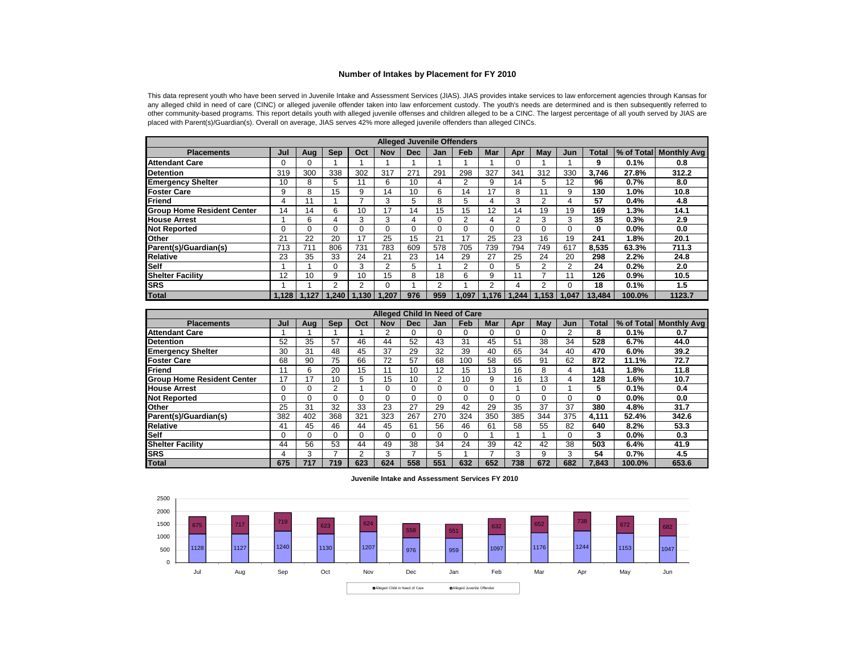## **Number of Intakes by Placement for FY 2010**

This data represent youth who have been served in Juvenile Intake and Assessment Services (JIAS). JIAS provides intake services to law enforcement agencies through Kansas for any alleged child in need of care (CINC) or alleged juvenile offender taken into law enforcement custody. The youth's needs are determined and is then subsequently referred to other community-based programs. This report details youth with alleged juvenile offenses and children alleged to be <sup>a</sup> CINC. The largest percentage of all youth served by JIAS areplaced with Parent(s)/Guardian(s). Overall on average, JIAS serves 42% more alleged juvenile offenders than alleged CINCs.

|                                   |          |       |                 |          |                |            |     | <b>Alleged Juvenile Offenders</b> |            |                         |     |                |              |        |                        |
|-----------------------------------|----------|-------|-----------------|----------|----------------|------------|-----|-----------------------------------|------------|-------------------------|-----|----------------|--------------|--------|------------------------|
| <b>Placements</b>                 | Jul      | Aug   | <b>Sep</b>      | Oct      | <b>Nov</b>     | <b>Dec</b> | Jan | <b>Feb</b>                        | <b>Mar</b> | Apr                     | May | Jun            | <b>Total</b> |        | % of Total Monthly Avg |
| <b>Attendant Care</b>             | $\Omega$ |       |                 |          |                |            |     |                                   |            |                         |     |                | 9            | 0.1%   | 0.8                    |
| <b>Detention</b>                  | 319      | 300   | 338             | 302      | 317            | 271        | 291 | 298                               | 327        | 341                     | 312 | 330            | 3.746        | 27.8%  | 312.2                  |
| <b>Emergency Shelter</b>          | 10       | 8     | 5               |          | 6              | 10         | 4   | $\overline{2}$                    | 9          | 14                      | 5.  | 12             | 96           | 0.7%   | 8.0                    |
| <b>Foster Care</b>                | 9        | 8     | 15              | 9        | 14             | 10         | 6   | 14                                | 17         | 8                       |     | 9              | 130          | 1.0%   | 10.8                   |
| Friend                            | 4        |       |                 |          | 3              | 5          | 8   | 5                                 | 4          | 3                       |     | 4              | 57           | 0.4%   | 4.8                    |
| <b>Group Home Resident Center</b> | 14       | 14    | 6               | 10       | 17             | 14         | 15  | 15                                | 12         | 14                      | 19  | 19             | 169          | 1.3%   | 14.1                   |
| <b>House Arrest</b>               |          | 6     | 4               | 3        | 3              | 4          | 0   | 2                                 | 4          | っ                       |     | 3              | 35           | 0.3%   | 2.9                    |
| <b>Not Reported</b>               |          |       |                 | $\Omega$ | 0              | O          | 0   | $\Omega$                          |            |                         |     |                | 0            | 0.0%   | 0.0                    |
| Other                             | 21       | 22    | 20              | 17       | 25             | 15         | 21  | 17                                | 25         | 23                      | 16  | 19             | 241          | 1.8%   | 20.1                   |
| Parent(s)/Guardian(s)             | 713      | 711   | 806             | 731      | 783            | 609        | 578 | 705                               | 739        | 794                     | 749 | 617            | 8,535        | 63.3%  | 711.3                  |
| <b>Relative</b>                   | 23       | 35    | 33              | 24       | 21             | 23         | 14  | 29                                | 27         | 25                      | 24  | 20             | 298          | 2.2%   | 24.8                   |
| <b>Self</b>                       |          |       | 0               | 3        | $\overline{2}$ | 5          |     | $\overline{2}$                    |            | 5                       | 2   | $\overline{2}$ | 24           | 0.2%   | 2.0                    |
| <b>Shelter Facility</b>           | 12       | 10    | 9               | 10       | 15             | 8          | 18  | 6                                 | 9          |                         |     | 11             | 126          | 0.9%   | 10.5                   |
| <b>SRS</b>                        |          |       | 2               | 2        | $\Omega$       |            | 2   |                                   | 2          | 4                       |     |                | 18           | 0.1%   | 1.5                    |
| <b>Total</b>                      | 1.128    | 1.127 | $1.240$   1.130 |          | .207           | 976        | 959 | .097                              |            | $1.176$   1.244   1.153 |     | 1.047          | 13.484       | 100.0% | 1123.7                 |

|                                   | <b>Alleged Child In Need of Care</b> |     |     |     |     |            |                   |             |            |     |     |     |              |        |                        |
|-----------------------------------|--------------------------------------|-----|-----|-----|-----|------------|-------------------|-------------|------------|-----|-----|-----|--------------|--------|------------------------|
| <b>Placements</b>                 | Jul                                  | Aua | Sep | Oct | Nov | <b>Dec</b> | Jan               | Feb         | <b>Mar</b> | Apr | Mav | Jun | <b>Total</b> |        | % of Total Monthly Avg |
| <b>Attendant Care</b>             |                                      |     |     |     | 2   |            |                   | 0           |            |     |     | 2   | 8            | 0.1%   | 0.7                    |
| Detention                         | 52                                   | 35  | 57  | 46  | 44  | 52         | 43                | 31          | 45         | 51  | 38  | 34  | 528          | 6.7%   | 44.0                   |
| <b>Emergency Shelter</b>          | 30                                   | 31  | 48  | 45  | 37  | 29         | 32                | 39          | 40         | 65  | 34  | 40  | 470          | 6.0%   | 39.2                   |
| <b>IFoster Care</b>               | 68                                   | 90  | 75  | 66  | 72  | 57         | 68                | 100         | 58         | 65  | 91  | 62  | 872          | 11.1%  | 72.7                   |
| <b>IFriend</b>                    | 11                                   | 6   | 20  | 15  | 11  | 10         | $12 \overline{ }$ | 15          | 13         | 16  | 8   | 4   | 141          | 1.8%   | 11.8                   |
| <b>Group Home Resident Center</b> | 17                                   | 17  | 10  | 5   | 15  | 10         | $\overline{2}$    | 10          | 9          | 16  | 13  | 4   | 128          | 1.6%   | 10.7                   |
| <b>House Arrest</b>               |                                      |     | 2   |     | 0   | $\Omega$   | 0                 | $\mathbf 0$ |            |     |     |     | 5            | 0.1%   | 0.4                    |
| <b>Not Reported</b>               |                                      |     |     |     | 0   |            | 0                 | 0           |            |     |     |     | 0            | 0.0%   | 0.0                    |
| <b>Other</b>                      | 25                                   | 31  | 32  | 33  | 23  | 27         | 29                | 42          | 29         | 35  | 37  | 37  | 380          | 4.8%   | 31.7                   |
| Parent(s)/Guardian(s)             | 382                                  | 402 | 368 | 321 | 323 | 267        | 270               | 324         | 350        | 385 | 344 | 375 | 4,111        | 52.4%  | 342.6                  |
| <b>Relative</b>                   | 41                                   | 45  | 46  | 44  | 45  | 61         | 56                | 46          | 61         | 58  | 55  | 82  | 640          | 8.2%   | 53.3                   |
| Self                              |                                      |     |     | 0   | 0   |            | 0                 | 0           |            |     |     | 0   | 3            | 0.0%   | 0.3                    |
| <b>Shelter Facility</b>           | 44                                   | 56  | 53  | 44  | 49  | 38         | 34                | 24          | 39         | 42  | 42  | 38  | 503          | 6.4%   | 41.9                   |
| <b>SRS</b>                        | 4                                    |     |     | っ   | 3   |            | 5                 |             |            | 3   | g   | 3   | 54           | 0.7%   | 4.5                    |
| <b>Total</b>                      | 675                                  | 717 | 719 | 623 | 624 | 558        | 551               | 632         | 652        | 738 | 672 | 682 | 7,843        | 100.0% | 653.6                  |

## Juvenile Intake and Assessment Services FY 2010